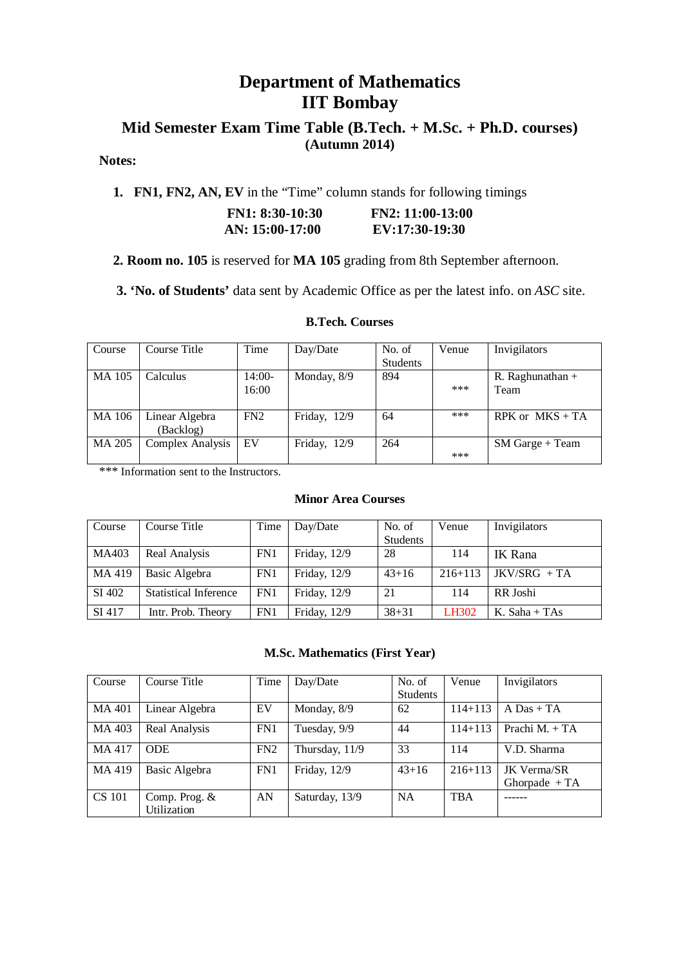# **Department of Mathematics IIT Bombay**

# **Mid Semester Exam Time Table (B.Tech. + M.Sc. + Ph.D. courses) (Autumn 2014)**

# **Notes:**

 **1. FN1, FN2, AN, EV** in the "Time" column stands for following timings

| $FN1: 8:30-10:30$ | $FN2: 11:00-13:00$ |
|-------------------|--------------------|
| AN: 15:00-17:00   | EV:17:30-19:30     |

 **2. Room no. 105** is reserved for **MA 105** grading from 8th September afternoon.

 **3. 'No. of Students'** data sent by Academic Office as per the latest info. on *ASC* site.

**B.Tech. Courses**

| Course        | Course Title            | Time     | Day/Date     | No. of          | Venue | Invigilators       |
|---------------|-------------------------|----------|--------------|-----------------|-------|--------------------|
|               |                         |          |              | <b>Students</b> |       |                    |
| <b>MA 105</b> | Calculus                | $14:00-$ | Monday, 8/9  | 894             |       | R. Raghunathan $+$ |
|               |                         | 16:00    |              |                 | ***   | Team               |
|               |                         |          |              |                 |       |                    |
| MA 106        | Linear Algebra          | FN2      | Friday, 12/9 | 64              | ***   | RPK or $MKS + TA$  |
|               | (Backlog)               |          |              |                 |       |                    |
| MA 205        | <b>Complex Analysis</b> | EV       | Friday, 12/9 | 264             |       | $SM$ Garge + Team  |
|               |                         |          |              |                 | ***   |                    |

\*\*\* Information sent to the Instructors.

### **Minor Area Courses**

| Course | Course Title                 | Time | Day/Date       | No. of          | Venue        | Invigilators   |
|--------|------------------------------|------|----------------|-----------------|--------------|----------------|
|        |                              |      |                | <b>Students</b> |              |                |
| MA403  | Real Analysis                | FN1  | Friday, 12/9   | 28              | 114          | IK Rana        |
| MA 419 | Basic Algebra                | FN1  | Friday, 12/9   | $43 + 16$       | $216 + 113$  | $IKV/SRG + TA$ |
| SI 402 | <b>Statistical Inference</b> | FN1  | Friday, 12/9   | 21              | 114          | RR Joshi       |
| SI 417 | Intr. Prob. Theory           | FN1  | Friday, $12/9$ | $38 + 31$       | <b>LH302</b> | K. Saha + TAs  |

#### **M.Sc. Mathematics (First Year)**

| Course        | Course Title                        | Time            | Day/Date       | No. of<br><b>Students</b> | Venue       | Invigilators                         |
|---------------|-------------------------------------|-----------------|----------------|---------------------------|-------------|--------------------------------------|
| MA 401        | Linear Algebra                      | EV              | Monday, 8/9    | 62                        | $114 + 113$ | $A$ Das + TA                         |
| MA 403        | Real Analysis                       | FN1             | Tuesday, 9/9   | 44                        | $114 + 113$ | Prachi $M_{+} + TA$                  |
| MA 417        | <b>ODE</b>                          | FN <sub>2</sub> | Thursday, 11/9 | 33                        | 114         | V.D. Sharma                          |
| MA 419        | Basic Algebra                       | FN1             | Friday, 12/9   | $43 + 16$                 | $216 + 113$ | <b>JK Verma/SR</b><br>Ghorpade $+TA$ |
| <b>CS 101</b> | Comp. Prog. &<br><b>Utilization</b> | AN              | Saturday, 13/9 | <b>NA</b>                 | <b>TBA</b>  |                                      |